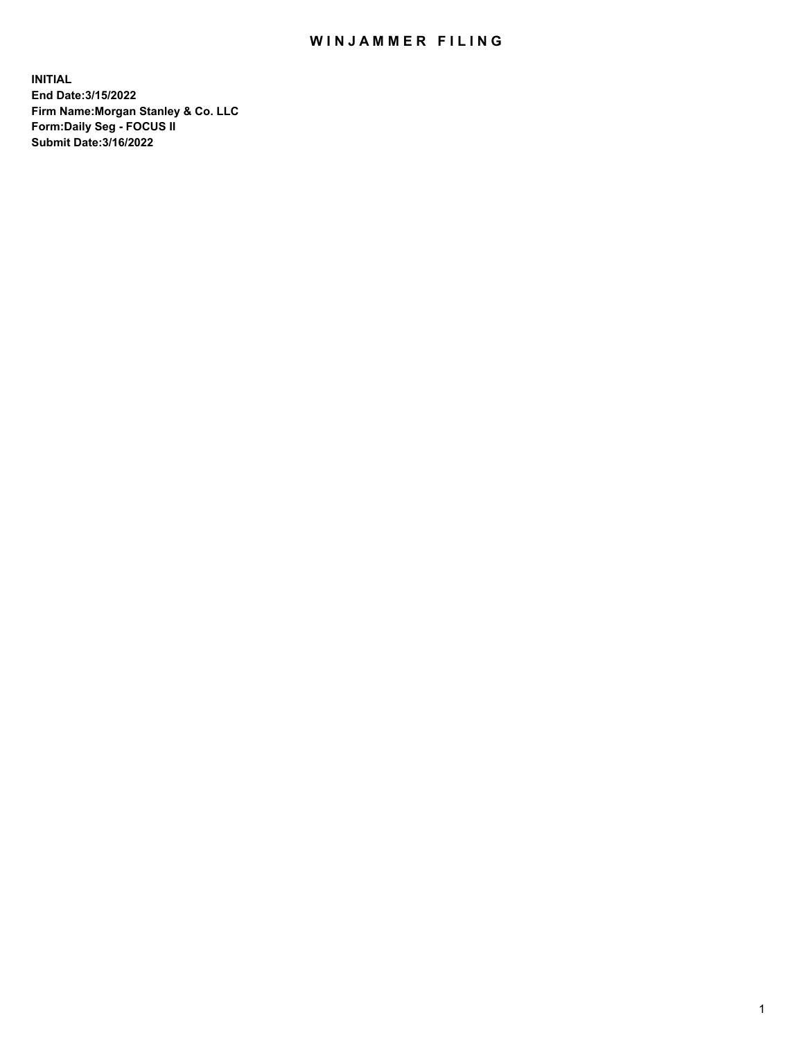## WIN JAMMER FILING

**INITIAL End Date:3/15/2022 Firm Name:Morgan Stanley & Co. LLC Form:Daily Seg - FOCUS II Submit Date:3/16/2022**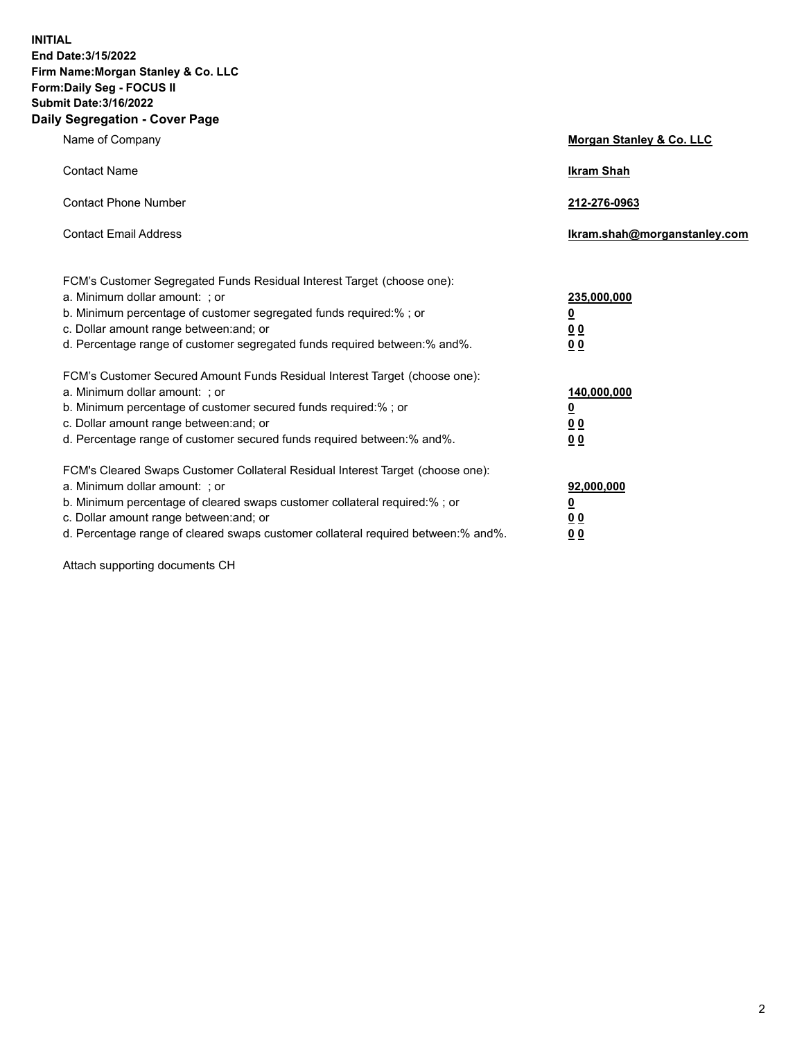**INITIAL End Date:3/15/2022 Firm Name:Morgan Stanley & Co. LLC Form:Daily Seg - FOCUS II Submit Date:3/16/2022 Daily Segregation - Cover Page**

| Name of Company                                                                                                                                                                                                                                                                                                                | <b>Morgan Stanley &amp; Co. LLC</b>                    |
|--------------------------------------------------------------------------------------------------------------------------------------------------------------------------------------------------------------------------------------------------------------------------------------------------------------------------------|--------------------------------------------------------|
| <b>Contact Name</b>                                                                                                                                                                                                                                                                                                            | <b>Ikram Shah</b>                                      |
| <b>Contact Phone Number</b>                                                                                                                                                                                                                                                                                                    | 212-276-0963                                           |
| <b>Contact Email Address</b>                                                                                                                                                                                                                                                                                                   | Ikram.shah@morganstanley.com                           |
| FCM's Customer Segregated Funds Residual Interest Target (choose one):<br>a. Minimum dollar amount: : or<br>b. Minimum percentage of customer segregated funds required:%; or<br>c. Dollar amount range between: and; or<br>d. Percentage range of customer segregated funds required between:% and%.                          | 235,000,000<br><u>0</u><br><u>00</u><br><u>00</u>      |
| FCM's Customer Secured Amount Funds Residual Interest Target (choose one):<br>a. Minimum dollar amount: ; or<br>b. Minimum percentage of customer secured funds required:%; or<br>c. Dollar amount range between: and; or<br>d. Percentage range of customer secured funds required between:% and%.                            | 140,000,000<br><u>0</u><br><u>00</u><br>0 <sub>0</sub> |
| FCM's Cleared Swaps Customer Collateral Residual Interest Target (choose one):<br>a. Minimum dollar amount: ; or<br>b. Minimum percentage of cleared swaps customer collateral required:% ; or<br>c. Dollar amount range between: and; or<br>d. Percentage range of cleared swaps customer collateral required between:% and%. | 92,000,000<br><u>0</u><br><u>00</u><br>00              |

Attach supporting documents CH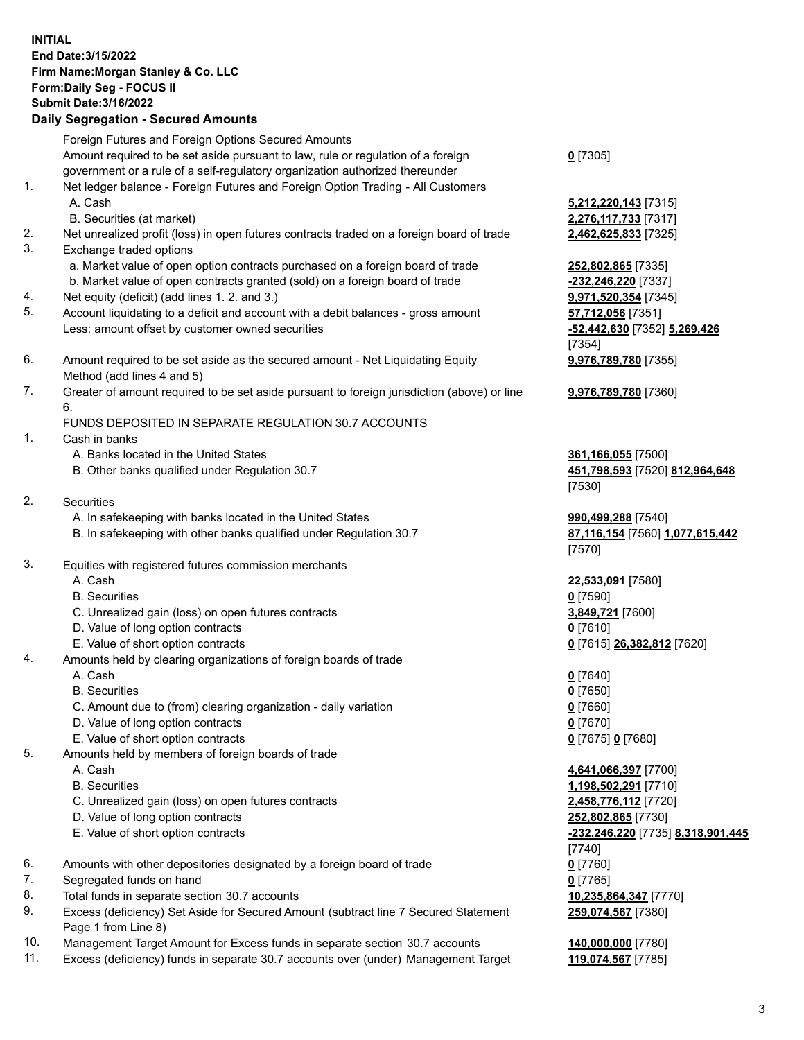## **INITIAL End Date:3/15/2022 Firm Name:Morgan Stanley & Co. LLC Form:Daily Seg - FOCUS II Submit Date:3/16/2022 Daily Segregation - Secured Amounts** Foreign Futures and Foreign Options Secured Amounts Amount required to be set aside pursuant to law, rule or regulation of a foreign government or a rule of a self-regulatory organization authorized thereunder 1. Net ledger balance - Foreign Futures and Foreign Option Trading - All Customers A. Cash **5,212,220,143** [7315] B. Securities (at market) **2,276,117,733** [7317] 2. Net unrealized profit (loss) in open futures contracts traded on a foreign board of trade **2,462,625,833** [7325] 3. Exchange traded options a. Market value of open option contracts purchased on a foreign board of trade **252,802,865** [7335] b. Market value of open contracts granted (sold) on a foreign board of trade **-232,246,220** [7337] 4. Net equity (deficit) (add lines 1. 2. and 3.) **9,971,520,354** [7345] 5. Account liquidating to a deficit and account with a debit balances - gross amount **57,712,056** [7351] Less: amount offset by customer owned securities **-52,442,630** [7352] **5,269,426** 6. Amount required to be set aside as the secured amount - Net Liquidating Equity Method (add lines 4 and 5) 7. Greater of amount required to be set aside pursuant to foreign jurisdiction (above) or line 6. FUNDS DEPOSITED IN SEPARATE REGULATION 30.7 ACCOUNTS 1. Cash in banks A. Banks located in the United States **361,166,055** [7500] B. Other banks qualified under Regulation 30.7 **451,798,593** [7520] **812,964,648** 2. Securities A. In safekeeping with banks located in the United States **990,499,288** [7540] B. In safekeeping with other banks qualified under Regulation 30.7 **87,116,154** [7560] **1,077,615,442** 3. Equities with registered futures commission merchants A. Cash **22,533,091** [7580] B. Securities **0** [7590] C. Unrealized gain (loss) on open futures contracts **3,849,721** [7600] D. Value of long option contracts **0** [7610] E. Value of short option contracts **0** [7615] **26,382,812** [7620]

- 4. Amounts held by clearing organizations of foreign boards of trade
	- A. Cash **0** [7640]
	- B. Securities **0** [7650]
	- C. Amount due to (from) clearing organization daily variation **0** [7660]
	- D. Value of long option contracts **0** [7670]
	- E. Value of short option contracts **0** [7675] **0** [7680]
- 5. Amounts held by members of foreign boards of trade
	-
	-
	- C. Unrealized gain (loss) on open futures contracts **2,458,776,112** [7720]
	- D. Value of long option contracts **252,802,865** [7730]
	-
- 6. Amounts with other depositories designated by a foreign board of trade **0** [7760]
- 7. Segregated funds on hand **0** [7765]
- 8. Total funds in separate section 30.7 accounts **10,235,864,347** [7770]
- 9. Excess (deficiency) Set Aside for Secured Amount (subtract line 7 Secured Statement Page 1 from Line 8)
- 10. Management Target Amount for Excess funds in separate section 30.7 accounts **140,000,000** [7780]
- 11. Excess (deficiency) funds in separate 30.7 accounts over (under) Management Target **119,074,567** [7785]

[7354] **9,976,789,780** [7355] **9,976,789,780** [7360]

**0** [7305]

[7530]

[7570]

 A. Cash **4,641,066,397** [7700] B. Securities **1,198,502,291** [7710] E. Value of short option contracts **-232,246,220** [7735] **8,318,901,445** [7740] **259,074,567** [7380]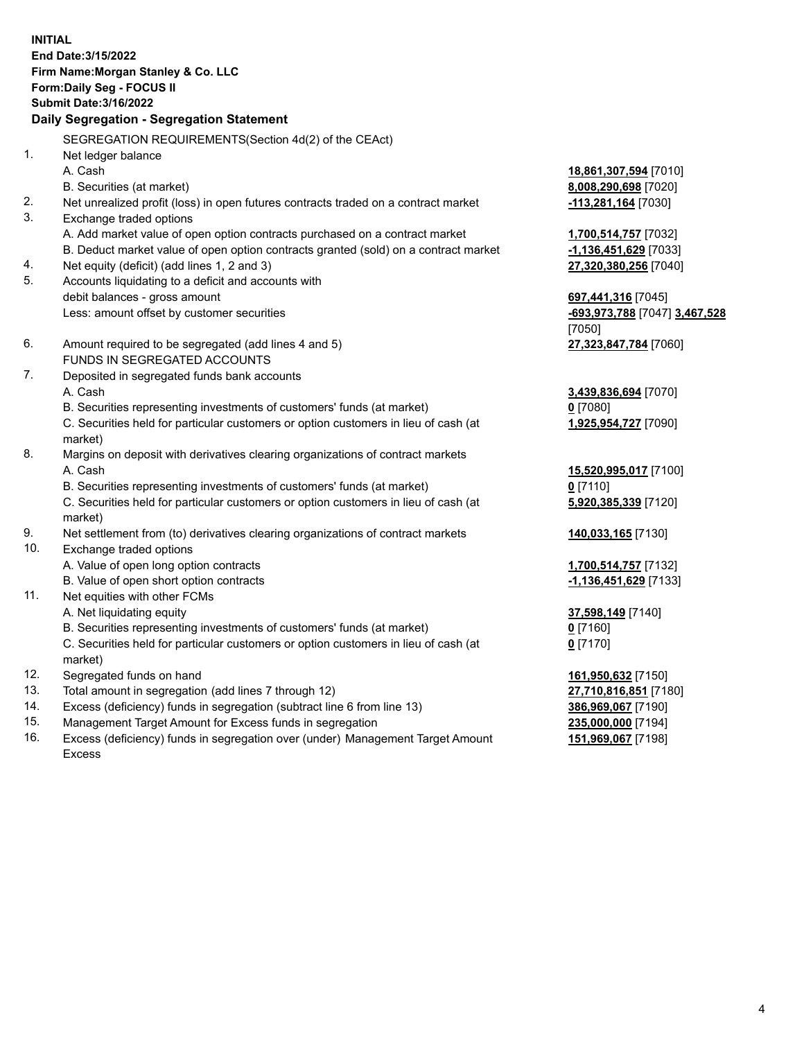**INITIAL End Date:3/15/2022 Firm Name:Morgan Stanley & Co. LLC Form:Daily Seg - FOCUS II Submit Date:3/16/2022 Daily Segregation - Segregation Statement** SEGREGATION REQUIREMENTS(Section 4d(2) of the CEAct) 1. Net ledger balance A. Cash **18,861,307,594** [7010] B. Securities (at market) **8,008,290,698** [7020] 2. Net unrealized profit (loss) in open futures contracts traded on a contract market **-113,281,164** [7030] 3. Exchange traded options A. Add market value of open option contracts purchased on a contract market **1,700,514,757** [7032] B. Deduct market value of open option contracts granted (sold) on a contract market **-1,136,451,629** [7033] 4. Net equity (deficit) (add lines 1, 2 and 3) **27,320,380,256** [7040] 5. Accounts liquidating to a deficit and accounts with debit balances - gross amount **697,441,316** [7045] Less: amount offset by customer securities **-693,973,788** [7047] **3,467,528** [7050] 6. Amount required to be segregated (add lines 4 and 5) **27,323,847,784** [7060] FUNDS IN SEGREGATED ACCOUNTS 7. Deposited in segregated funds bank accounts A. Cash **3,439,836,694** [7070] B. Securities representing investments of customers' funds (at market) **0** [7080] C. Securities held for particular customers or option customers in lieu of cash (at market) **1,925,954,727** [7090] 8. Margins on deposit with derivatives clearing organizations of contract markets A. Cash **15,520,995,017** [7100] B. Securities representing investments of customers' funds (at market) **0** [7110] C. Securities held for particular customers or option customers in lieu of cash (at market) **5,920,385,339** [7120] 9. Net settlement from (to) derivatives clearing organizations of contract markets **140,033,165** [7130] 10. Exchange traded options A. Value of open long option contracts **1,700,514,757** [7132] B. Value of open short option contracts **-1,136,451,629** [7133] 11. Net equities with other FCMs A. Net liquidating equity **37,598,149** [7140] B. Securities representing investments of customers' funds (at market) **0** [7160] C. Securities held for particular customers or option customers in lieu of cash (at market) **0** [7170] 12. Segregated funds on hand **161,950,632** [7150] 13. Total amount in segregation (add lines 7 through 12) **27,710,816,851** [7180] 14. Excess (deficiency) funds in segregation (subtract line 6 from line 13) **386,969,067** [7190] 15. Management Target Amount for Excess funds in segregation **235,000,000** [7194]

16. Excess (deficiency) funds in segregation over (under) Management Target Amount Excess

**151,969,067** [7198]